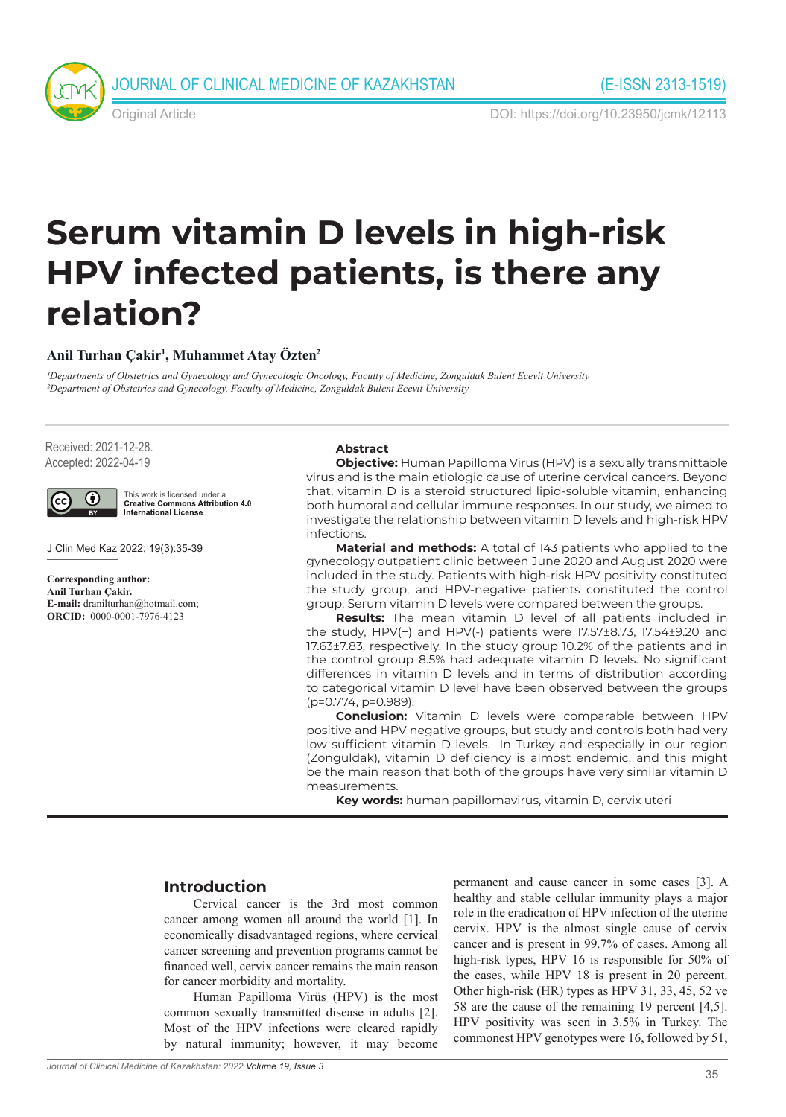

Original Article DOI: https://doi.org/10.23950/jcmk/12113

# **Serum vitamin D levels in high-risk HPV infected patients, is there any relation?**

#### **Anil Turhan Çakir1 , Muhammet Atay Özten2**

*1Departments of Obstetrics and Gynecology and Gynecologic Oncology, Faculty of Medicine, Zonguldak Bulent Ecevit University 2Department of Obstetrics and Gynecology, Faculty of Medicine, Zonguldak Bulent Ecevit University* 

Received: 2021-12-28. Accepted: 2022-04-19



This work is licensed under a<br>Creative Commons Attribution 4.0 **International License** 

J Clin Med Kaz 2022; 19(3):35-39

**Corresponding author: Anil Turhan Çakir. E-mail:** dranilturhan@hotmail.com; **ORCID:** 0000-0001-7976-4123

#### **Abstract**

**Objective:** Human Papilloma Virus (HPV) is a sexually transmittable virus and is the main etiologic cause of uterine cervical cancers. Beyond that, vitamin D is a steroid structured lipid-soluble vitamin, enhancing both humoral and cellular immune responses. In our study, we aimed to investigate the relationship between vitamin D levels and high-risk HPV infections.

**Material and methods:** A total of 143 patients who applied to the gynecology outpatient clinic between June 2020 and August 2020 were included in the study. Patients with high-risk HPV positivity constituted the study group, and HPV-negative patients constituted the control group. Serum vitamin D levels were compared between the groups.

**Results:** The mean vitamin D level of all patients included in the study, HPV(+) and HPV(-) patients were 17.57±8.73, 17.54±9.20 and 17.63±7.83, respectively. In the study group 10.2% of the patients and in the control group 8.5% had adequate vitamin D levels. No significant differences in vitamin D levels and in terms of distribution according to categorical vitamin D level have been observed between the groups (p=0.774, p=0.989).

**Conclusion:** Vitamin D levels were comparable between HPV positive and HPV negative groups, but study and controls both had very low sufficient vitamin D levels. In Turkey and especially in our region (Zonguldak), vitamin D deficiency is almost endemic, and this might be the main reason that both of the groups have very similar vitamin D measurements.

**Key words:** human papillomavirus, vitamin D, cervix uteri

# **Introduction**

Cervical cancer is the 3rd most common cancer among women all around the world [1]. In economically disadvantaged regions, where cervical cancer screening and prevention programs cannot be financed well, cervix cancer remains the main reason for cancer morbidity and mortality.

Human Papilloma Virüs (HPV) is the most common sexually transmitted disease in adults [2]. Most of the HPV infections were cleared rapidly by natural immunity; however, it may become

permanent and cause cancer in some cases [3]. A healthy and stable cellular immunity plays a major role in the eradication of HPV infection of the uterine cervix. HPV is the almost single cause of cervix cancer and is present in 99.7% of cases. Among all high-risk types, HPV 16 is responsible for 50% of the cases, while HPV 18 is present in 20 percent. Other high-risk (HR) types as HPV 31, 33, 45, 52 ve 58 are the cause of the remaining 19 percent [4,5]. HPV positivity was seen in 3.5% in Turkey. The commonest HPV genotypes were 16, followed by 51,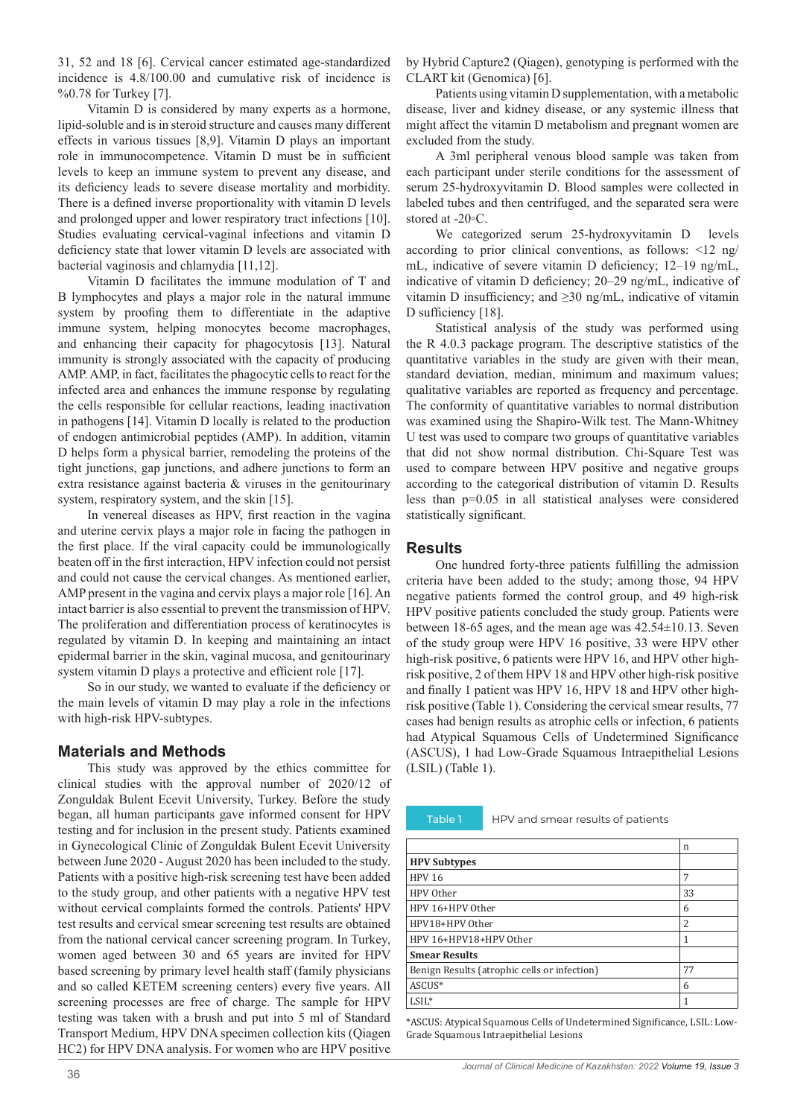31, 52 and 18 [6]. Cervical cancer estimated age-standardized incidence is 4.8/100.00 and cumulative risk of incidence is %0.78 for Turkey [7].

Vitamin D is considered by many experts as a hormone, lipid-soluble and is in steroid structure and causes many different effects in various tissues [8,9]. Vitamin D plays an important role in immunocompetence. Vitamin D must be in sufficient levels to keep an immune system to prevent any disease, and its deficiency leads to severe disease mortality and morbidity. There is a defined inverse proportionality with vitamin D levels and prolonged upper and lower respiratory tract infections [10]. Studies evaluating cervical-vaginal infections and vitamin D deficiency state that lower vitamin D levels are associated with bacterial vaginosis and chlamydia [11,12].

Vitamin D facilitates the immune modulation of T and B lymphocytes and plays a major role in the natural immune system by proofing them to differentiate in the adaptive immune system, helping monocytes become macrophages, and enhancing their capacity for phagocytosis [13]. Natural immunity is strongly associated with the capacity of producing AMP. AMP, in fact, facilitates the phagocytic cells to react for the infected area and enhances the immune response by regulating the cells responsible for cellular reactions, leading inactivation in pathogens [14]. Vitamin D locally is related to the production of endogen antimicrobial peptides (AMP). In addition, vitamin D helps form a physical barrier, remodeling the proteins of the tight junctions, gap junctions, and adhere junctions to form an extra resistance against bacteria & viruses in the genitourinary system, respiratory system, and the skin [15].

In venereal diseases as HPV, first reaction in the vagina and uterine cervix plays a major role in facing the pathogen in the first place. If the viral capacity could be immunologically beaten off in the first interaction, HPV infection could not persist and could not cause the cervical changes. As mentioned earlier, AMP present in the vagina and cervix plays a major role [16]. An intact barrier is also essential to prevent the transmission of HPV. The proliferation and differentiation process of keratinocytes is regulated by vitamin D. In keeping and maintaining an intact epidermal barrier in the skin, vaginal mucosa, and genitourinary system vitamin D plays a protective and efficient role [17].

So in our study, we wanted to evaluate if the deficiency or the main levels of vitamin D may play a role in the infections with high-risk HPV-subtypes.

## **Materials and Methods**

This study was approved by the ethics committee for clinical studies with the approval number of 2020/12 of Zonguldak Bulent Ecevit University, Turkey. Before the study began, all human participants gave informed consent for HPV testing and for inclusion in the present study. Patients examined in Gynecological Clinic of Zonguldak Bulent Ecevit University between June 2020 - August 2020 has been included to the study. Patients with a positive high-risk screening test have been added to the study group, and other patients with a negative HPV test without cervical complaints formed the controls. Patients' HPV test results and cervical smear screening test results are obtained from the national cervical cancer screening program. In Turkey, women aged between 30 and 65 years are invited for HPV based screening by primary level health staff (family physicians and so called KETEM screening centers) every five years. All screening processes are free of charge. The sample for HPV testing was taken with a brush and put into 5 ml of Standard Transport Medium, HPV DNA specimen collection kits (Qiagen HC2) for HPV DNA analysis. For women who are HPV positive

by Hybrid Capture2 (Qiagen), genotyping is performed with the CLART kit (Genomica) [6].

Patients using vitamin D supplementation, with a metabolic disease, liver and kidney disease, or any systemic illness that might affect the vitamin D metabolism and pregnant women are excluded from the study.

A 3ml peripheral venous blood sample was taken from each participant under sterile conditions for the assessment of serum 25-hydroxyvitamin D. Blood samples were collected in labeled tubes and then centrifuged, and the separated sera were stored at -20◦C.

We categorized serum 25-hydroxyvitamin D levels according to prior clinical conventions, as follows: <12 ng/ mL, indicative of severe vitamin D deficiency; 12–19 ng/mL, indicative of vitamin D deficiency; 20–29 ng/mL, indicative of vitamin D insufficiency; and ≥30 ng/mL, indicative of vitamin D sufficiency [18].

Statistical analysis of the study was performed using the R 4.0.3 package program. The descriptive statistics of the quantitative variables in the study are given with their mean, standard deviation, median, minimum and maximum values; qualitative variables are reported as frequency and percentage. The conformity of quantitative variables to normal distribution was examined using the Shapiro-Wilk test. The Mann-Whitney U test was used to compare two groups of quantitative variables that did not show normal distribution. Chi-Square Test was used to compare between HPV positive and negative groups according to the categorical distribution of vitamin D. Results less than p=0.05 in all statistical analyses were considered statistically significant.

## **Results**

One hundred forty-three patients fulfilling the admission criteria have been added to the study; among those, 94 HPV negative patients formed the control group, and 49 high-risk HPV positive patients concluded the study group. Patients were between 18-65 ages, and the mean age was 42.54±10.13. Seven of the study group were HPV 16 positive, 33 were HPV other high-risk positive, 6 patients were HPV 16, and HPV other highrisk positive, 2 of them HPV 18 and HPV other high-risk positive and finally 1 patient was HPV 16, HPV 18 and HPV other highrisk positive (Table 1). Considering the cervical smear results, 77 cases had benign results as atrophic cells or infection, 6 patients had Atypical Squamous Cells of Undetermined Significance (ASCUS), 1 had Low-Grade Squamous Intraepithelial Lesions (LSIL) (Table 1).

Table 1 HPV and smear results of patients

|                                              | n  |
|----------------------------------------------|----|
| <b>HPV Subtypes</b>                          |    |
| <b>HPV 16</b>                                | 7  |
| HPV Other                                    | 33 |
| HPV 16+HPV Other                             | 6  |
| HPV18+HPV Other                              | 2  |
| HPV 16+HPV18+HPV Other                       | 1  |
| <b>Smear Results</b>                         |    |
| Benign Results (atrophic cells or infection) | 77 |
| ASCUS*                                       | 6  |
| $LSIL^*$                                     |    |

\*ASCUS: Atypical Squamous Cells of Undetermined Significance, LSIL: Low-Grade Squamous Intraepithelial Lesions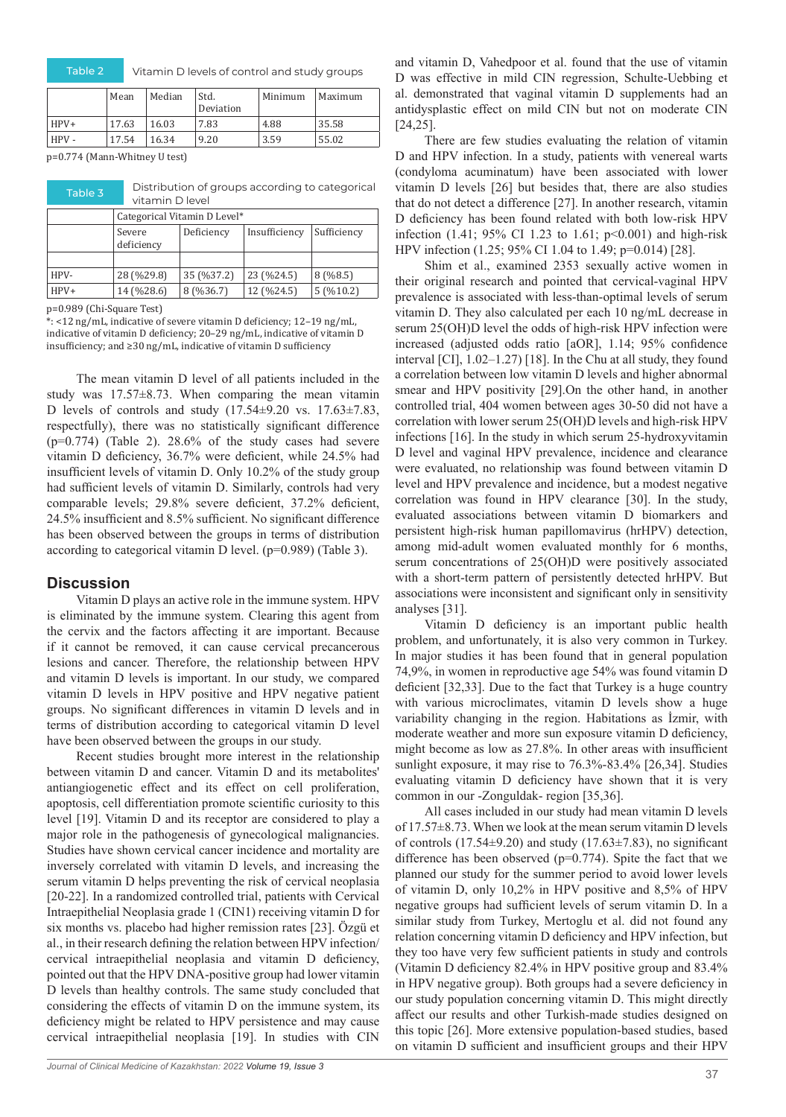Table 2 Vitamin D levels of control and study groups

|      | Mean  | Median | Std.<br>Deviation | Minimum | Maximum |
|------|-------|--------|-------------------|---------|---------|
| HPV+ | 17.63 | 16.03  | 7.83              | 4.88    | 35.58   |
| HPV- | 17.54 | 16.34  | 9.20              | 3.59    | 55.02   |

p=0.774 (Mann-Whitney U test)

| Table 3 | Distribution of groups according to categorical |
|---------|-------------------------------------------------|
|         | vitamin D level                                 |

|        | Categorical Vitamin D Level* |            |               |             |  |  |
|--------|------------------------------|------------|---------------|-------------|--|--|
|        | Severe<br>deficiency         | Deficiency | Insufficiency | Sufficiency |  |  |
|        |                              |            |               |             |  |  |
| HPV-   | 28 (%29.8)                   | 35 (%37.2) | 23 (%24.5)    | 8(%8.5)     |  |  |
| $HPV+$ | 14 (%28.6)                   | 8(%36.7)   | 12 (%24.5)    | 5(%10.2)    |  |  |

p=0.989 (Chi-Square Test)

\*: <12 ng/mL, indicative of severe vitamin D deficiency; 12–19 ng/mL, indicative of vitamin D deficiency; 20–29 ng/mL, indicative of vitamin D insufficiency; and ≥30 ng/mL, indicative of vitamin D sufficiency

The mean vitamin D level of all patients included in the study was  $17.57 \pm 8.73$ . When comparing the mean vitamin D levels of controls and study (17.54±9.20 vs. 17.63±7.83, respectfully), there was no statistically significant difference  $(p=0.774)$  (Table 2). 28.6% of the study cases had severe vitamin D deficiency, 36.7% were deficient, while 24.5% had insufficient levels of vitamin D. Only 10.2% of the study group had sufficient levels of vitamin D. Similarly, controls had very comparable levels; 29.8% severe deficient, 37.2% deficient, 24.5% insufficient and 8.5% sufficient. No significant difference has been observed between the groups in terms of distribution according to categorical vitamin D level. (p=0.989) (Table 3).

#### **Discussion**

Vitamin D plays an active role in the immune system. HPV is eliminated by the immune system. Clearing this agent from the cervix and the factors affecting it are important. Because if it cannot be removed, it can cause cervical precancerous lesions and cancer. Therefore, the relationship between HPV and vitamin D levels is important. In our study, we compared vitamin D levels in HPV positive and HPV negative patient groups. No significant differences in vitamin D levels and in terms of distribution according to categorical vitamin D level have been observed between the groups in our study.

Recent studies brought more interest in the relationship between vitamin D and cancer. Vitamin D and its metabolites' antiangiogenetic effect and its effect on cell proliferation, apoptosis, cell differentiation promote scientific curiosity to this level [19]. Vitamin D and its receptor are considered to play a major role in the pathogenesis of gynecological malignancies. Studies have shown cervical cancer incidence and mortality are inversely correlated with vitamin D levels, and increasing the serum vitamin D helps preventing the risk of cervical neoplasia [20-22]. In a randomized controlled trial, patients with Cervical Intraepithelial Neoplasia grade 1 (CIN1) receiving vitamin D for six months vs. placebo had higher remission rates [23]. Özgü et al., in their research defining the relation between HPV infection/ cervical intraepithelial neoplasia and vitamin D deficiency, pointed out that the HPV DNA-positive group had lower vitamin D levels than healthy controls. The same study concluded that considering the effects of vitamin D on the immune system, its deficiency might be related to HPV persistence and may cause cervical intraepithelial neoplasia [19]. In studies with CIN

and vitamin D, Vahedpoor et al. found that the use of vitamin D was effective in mild CIN regression, Schulte-Uebbing et al. demonstrated that vaginal vitamin D supplements had an antidysplastic effect on mild CIN but not on moderate CIN [24,25].

There are few studies evaluating the relation of vitamin D and HPV infection. In a study, patients with venereal warts (condyloma acuminatum) have been associated with lower vitamin D levels [26] but besides that, there are also studies that do not detect a difference [27]. In another research, vitamin D deficiency has been found related with both low-risk HPV infection (1.41; 95% CI 1.23 to 1.61; p<0.001) and high-risk HPV infection (1.25; 95% CI 1.04 to 1.49; p=0.014) [28].

Shim et al., examined 2353 sexually active women in their original research and pointed that cervical-vaginal HPV prevalence is associated with less-than-optimal levels of serum vitamin D. They also calculated per each 10 ng/mL decrease in serum 25(OH)D level the odds of high-risk HPV infection were increased (adjusted odds ratio [aOR], 1.14; 95% confidence interval [CI], 1.02–1.27) [18]. In the Chu at all study, they found a correlation between low vitamin D levels and higher abnormal smear and HPV positivity [29].On the other hand, in another controlled trial, 404 women between ages 30-50 did not have a correlation with lower serum 25(OH)D levels and high-risk HPV infections [16]. In the study in which serum 25-hydroxyvitamin D level and vaginal HPV prevalence, incidence and clearance were evaluated, no relationship was found between vitamin D level and HPV prevalence and incidence, but a modest negative correlation was found in HPV clearance [30]. In the study, evaluated associations between vitamin D biomarkers and persistent high-risk human papillomavirus (hrHPV) detection, among mid-adult women evaluated monthly for 6 months, serum concentrations of 25(OH)D were positively associated with a short-term pattern of persistently detected hrHPV. But associations were inconsistent and significant only in sensitivity analyses [31].

Vitamin D deficiency is an important public health problem, and unfortunately, it is also very common in Turkey. In major studies it has been found that in general population 74,9%, in women in reproductive age 54% was found vitamin D deficient [32,33]. Due to the fact that Turkey is a huge country with various microclimates, vitamin D levels show a huge variability changing in the region. Habitations as İzmir, with moderate weather and more sun exposure vitamin D deficiency, might become as low as 27.8%. In other areas with insufficient sunlight exposure, it may rise to 76.3%-83.4% [26,34]. Studies evaluating vitamin D deficiency have shown that it is very common in our -Zonguldak- region [35,36].

All cases included in our study had mean vitamin D levels of 17.57±8.73. When we look at the mean serum vitamin D levels of controls  $(17.54\pm9.20)$  and study  $(17.63\pm7.83)$ , no significant difference has been observed ( $p=0.774$ ). Spite the fact that we planned our study for the summer period to avoid lower levels of vitamin D, only 10,2% in HPV positive and 8,5% of HPV negative groups had sufficient levels of serum vitamin D. In a similar study from Turkey, Mertoglu et al. did not found any relation concerning vitamin D deficiency and HPV infection, but they too have very few sufficient patients in study and controls (Vitamin D deficiency 82.4% in HPV positive group and 83.4% in HPV negative group). Both groups had a severe deficiency in our study population concerning vitamin D. This might directly affect our results and other Turkish-made studies designed on this topic [26]. More extensive population-based studies, based on vitamin D sufficient and insufficient groups and their HPV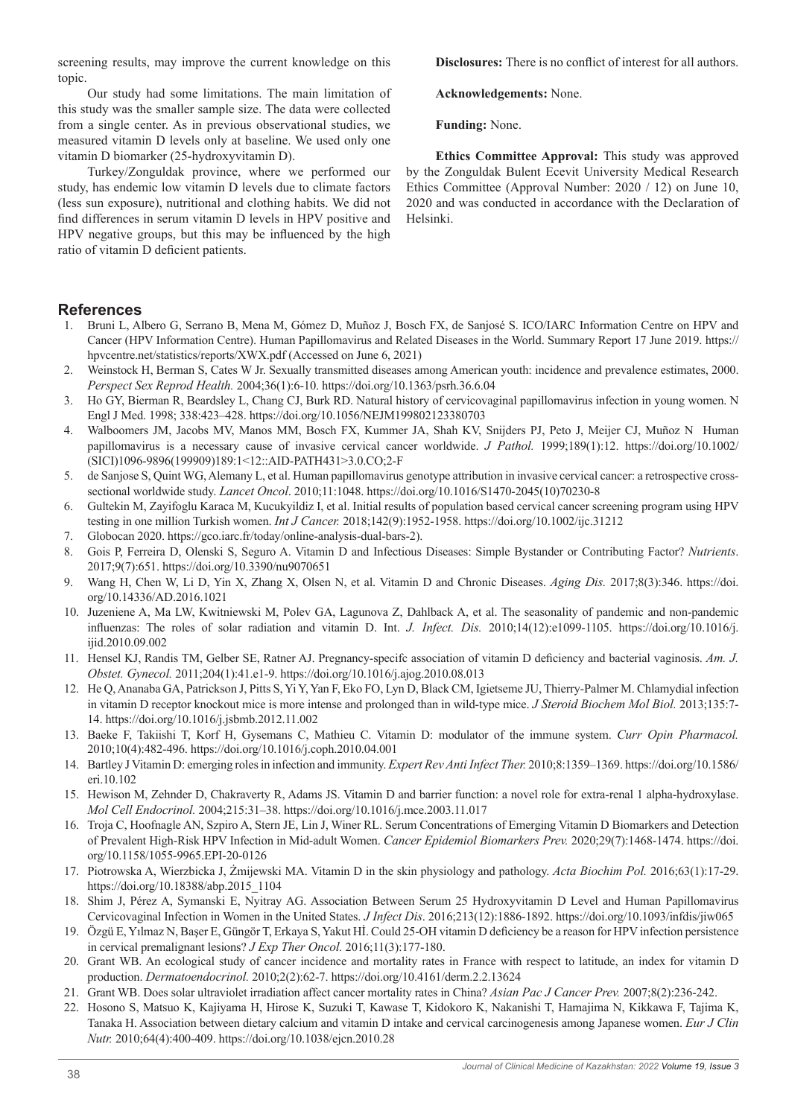screening results, may improve the current knowledge on this topic.

Our study had some limitations. The main limitation of this study was the smaller sample size. The data were collected from a single center. As in previous observational studies, we measured vitamin D levels only at baseline. We used only one vitamin D biomarker (25-hydroxyvitamin D).

Turkey/Zonguldak province, where we performed our study, has endemic low vitamin D levels due to climate factors (less sun exposure), nutritional and clothing habits. We did not find differences in serum vitamin D levels in HPV positive and HPV negative groups, but this may be influenced by the high ratio of vitamin D deficient patients.

**Disclosures:** There is no conflict of interest for all authors.

**Acknowledgements:** None.

**Funding:** None.

**Ethics Committee Approval:** This study was approved by the Zonguldak Bulent Ecevit University Medical Research Ethics Committee (Approval Number: 2020 / 12) on June 10, 2020 and was conducted in accordance with the Declaration of Helsinki.

#### **References**

- 1. Bruni L, Albero G, Serrano B, Mena M, Gómez D, Muñoz J, Bosch FX, de Sanjosé S. ICO/IARC Information Centre on HPV and Cancer (HPV Information Centre). Human Papillomavirus and Related Diseases in the World. Summary Report 17 June 2019. https:// hpvcentre.net/statistics/reports/XWX.pdf (Accessed on June 6, 2021)
- 2. Weinstock H, Berman S, Cates W Jr. Sexually transmitted diseases among American youth: incidence and prevalence estimates, 2000. *Perspect Sex Reprod Health.* 2004;36(1):6-10. https://doi.org/10.1363/psrh.36.6.04
- 3. Ho GY, Bierman R, Beardsley L, Chang CJ, Burk RD. Natural history of cervicovaginal papillomavirus infection in young women. N Engl J Med. 1998; 338:423–428. https://doi.org/10.1056/NEJM199802123380703
- 4. Walboomers JM, Jacobs MV, Manos MM, Bosch FX, Kummer JA, Shah KV, Snijders PJ, Peto J, Meijer CJ, Muñoz N Human papillomavirus is a necessary cause of invasive cervical cancer worldwide. *J Pathol.* 1999;189(1):12. https://doi.org/10.1002/ (SICI)1096-9896(199909)189:1<12::AID-PATH431>3.0.CO;2-F
- 5. de Sanjose S, Quint WG, Alemany L, et al. Human papillomavirus genotype attribution in invasive cervical cancer: a retrospective crosssectional worldwide study. *Lancet Oncol*. 2010;11:1048. https://doi.org/10.1016/S1470-2045(10)70230-8
- 6. Gultekin M, Zayifoglu Karaca M, Kucukyildiz I, et al. Initial results of population based cervical cancer screening program using HPV testing in one million Turkish women. *Int J Cancer.* 2018;142(9):1952-1958. https://doi.org/10.1002/ijc.31212
- 7. Globocan 2020. https://gco.iarc.fr/today/online-analysis-dual-bars-2).
- 8. Gois P, Ferreira D, Olenski S, Seguro A. Vitamin D and Infectious Diseases: Simple Bystander or Contributing Factor? *Nutrients*. 2017;9(7):651. https://doi.org/10.3390/nu9070651
- 9. Wang H, Chen W, Li D, Yin X, Zhang X, Olsen N, et al. Vitamin D and Chronic Diseases. *Aging Dis.* 2017;8(3):346. https://doi. org/10.14336/AD.2016.1021
- 10. Juzeniene A, Ma LW, Kwitniewski M, Polev GA, Lagunova Z, Dahlback A, et al. The seasonality of pandemic and non-pandemic influenzas: The roles of solar radiation and vitamin D. Int. *J. Infect. Dis.* 2010;14(12):e1099-1105. https://doi.org/10.1016/j. ijid.2010.09.002
- 11. Hensel KJ, Randis TM, Gelber SE, Ratner AJ. Pregnancy-specifc association of vitamin D deficiency and bacterial vaginosis. *Am. J. Obstet. Gynecol.* 2011;204(1):41.e1-9. https://doi.org/10.1016/j.ajog.2010.08.013
- 12. He Q, Ananaba GA, Patrickson J, Pitts S, Yi Y, Yan F, Eko FO, Lyn D, Black CM, Igietseme JU, Thierry-Palmer M. Chlamydial infection in vitamin D receptor knockout mice is more intense and prolonged than in wild-type mice. *J Steroid Biochem Mol Biol.* 2013;135:7- 14. https://doi.org/10.1016/j.jsbmb.2012.11.002
- 13. Baeke F, Takiishi T, Korf H, Gysemans C, Mathieu C. Vitamin D: modulator of the immune system. *Curr Opin Pharmacol.* 2010;10(4):482-496. https://doi.org/10.1016/j.coph.2010.04.001
- 14. Bartley J Vitamin D: emerging roles in infection and immunity. *Expert Rev Anti Infect Ther.* 2010;8:1359–1369. https://doi.org/10.1586/ eri.10.102
- 15. Hewison M, Zehnder D, Chakraverty R, Adams JS. Vitamin D and barrier function: a novel role for extra-renal 1 alpha-hydroxylase. *Mol Cell Endocrinol.* 2004;215:31–38. https://doi.org/10.1016/j.mce.2003.11.017
- 16. Troja C, Hoofnagle AN, Szpiro A, Stern JE, Lin J, Winer RL. Serum Concentrations of Emerging Vitamin D Biomarkers and Detection of Prevalent High-Risk HPV Infection in Mid-adult Women. *Cancer Epidemiol Biomarkers Prev.* 2020;29(7):1468-1474. https://doi. org/10.1158/1055-9965.EPI-20-0126
- 17. Piotrowska A, Wierzbicka J, Żmijewski MA. Vitamin D in the skin physiology and pathology. *Acta Biochim Pol.* 2016;63(1):17-29. https://doi.org/10.18388/abp.2015\_1104
- 18. Shim J, Pérez A, Symanski E, Nyitray AG. Association Between Serum 25 Hydroxyvitamin D Level and Human Papillomavirus Cervicovaginal Infection in Women in the United States. *J Infect Dis*. 2016;213(12):1886-1892. https://doi.org/10.1093/infdis/jiw065
- 19. Özgü E, Yılmaz N, Başer E, Güngör T, Erkaya S, Yakut Hİ. Could 25-OH vitamin D deficiency be a reason for HPV infection persistence in cervical premalignant lesions? *J Exp Ther Oncol.* 2016;11(3):177-180.
- 20. Grant WB. An ecological study of cancer incidence and mortality rates in France with respect to latitude, an index for vitamin D production. *Dermatoendocrinol.* 2010;2(2):62-7. https://doi.org/10.4161/derm.2.2.13624
- 21. Grant WB. Does solar ultraviolet irradiation affect cancer mortality rates in China? *Asian Pac J Cancer Prev.* 2007;8(2):236-242.
- 22. Hosono S, Matsuo K, Kajiyama H, Hirose K, Suzuki T, Kawase T, Kidokoro K, Nakanishi T, Hamajima N, Kikkawa F, Tajima K, Tanaka H. Association between dietary calcium and vitamin D intake and cervical carcinogenesis among Japanese women. *Eur J Clin Nutr.* 2010;64(4):400-409. https://doi.org/10.1038/ejcn.2010.28